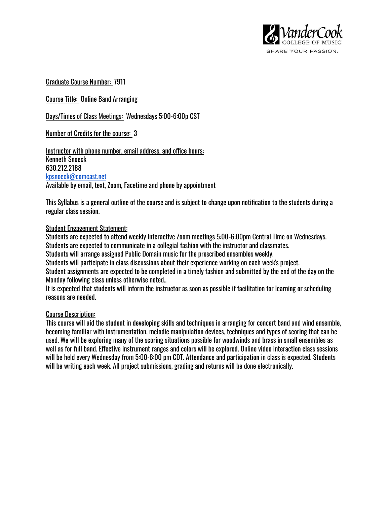

Graduate Course Number: 7911

Course Title: Online Band Arranging

Days/Times of Class Meetings: Wednesdays 5:00-6:00p CST

Number of Credits for the course: 3

Instructor with phone number, email address, and office hours: Kenneth Snoeck 630.212.2188 [kpsnoeck@comcast.net](mailto:kpsnoeck@comcast.net) Available by email, text, Zoom, Facetime and phone by appointment

This Syllabus is a general outline of the course and is subject to change upon notification to the students during a regular class session.

### Student Engagement Statement:

Students are expected to attend weekly interactive Zoom meetings 5:00-6:00pm Central Time on Wednesdays. Students are expected to communicate in a collegial fashion with the instructor and classmates.

Students will arrange assigned Public Domain music for the prescribed ensembles weekly.

Students will participate in class discussions about their experience working on each week's project.

Student assignments are expected to be completed in a timely fashion and submitted by the end of the day on the Monday following class unless otherwise noted..

It is expected that students will inform the instructor as soon as possible if facilitation for learning or scheduling reasons are needed.

#### Course Description:

This course will aid the student in developing skills and techniques in arranging for concert band and wind ensemble, becoming familiar with instrumentation, melodic manipulation devices, techniques and types of scoring that can be used. We will be exploring many of the scoring situations possible for woodwinds and brass in small ensembles as well as for full band. Effective instrument ranges and colors will be explored. Online video interaction class sessions will be held every Wednesday from 5:00-6:00 pm CDT. Attendance and participation in class is expected. Students will be writing each week. All project submissions, grading and returns will be done electronically.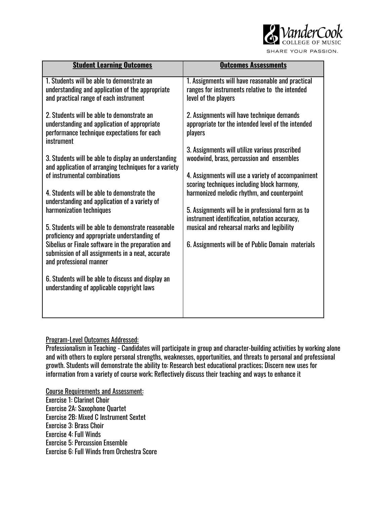

SHARE YOUR PASSION.

| <b>Student Learning Outcomes</b>                                                                                                                                                                                                                                                                                                                                                                                                                                                                                                                                                                                                                                                                                                                                                                                                                                                                                                 | <b>Outcomes Assessments</b>                                                                                                                                                                                                                                                                                                                                                                                                                                                                                                                                                                                                                                                                             |
|----------------------------------------------------------------------------------------------------------------------------------------------------------------------------------------------------------------------------------------------------------------------------------------------------------------------------------------------------------------------------------------------------------------------------------------------------------------------------------------------------------------------------------------------------------------------------------------------------------------------------------------------------------------------------------------------------------------------------------------------------------------------------------------------------------------------------------------------------------------------------------------------------------------------------------|---------------------------------------------------------------------------------------------------------------------------------------------------------------------------------------------------------------------------------------------------------------------------------------------------------------------------------------------------------------------------------------------------------------------------------------------------------------------------------------------------------------------------------------------------------------------------------------------------------------------------------------------------------------------------------------------------------|
| 1. Students will be able to demonstrate an<br>understanding and application of the appropriate<br>and practical range of each instrument<br>2. Students will be able to demonstrate an<br>understanding and application of appropriate<br>performance technique expectations for each<br>instrument<br>3. Students will be able to display an understanding<br>and application of arranging techniques for a variety<br>of instrumental combinations<br>4. Students will be able to demonstrate the<br>understanding and application of a variety of<br>harmonization techniques<br>5. Students will be able to demonstrate reasonable<br>proficiency and appropriate understanding of<br>Sibelius or Finale software in the preparation and<br>submission of all assignments in a neat, accurate<br>and professional manner<br>6. Students will be able to discuss and display an<br>understanding of applicable copyright laws | 1. Assignments will have reasonable and practical<br>ranges for instruments relative to the intended<br>level of the players<br>2. Assignments will have technique demands<br>appropriate tor the intended level of the intended<br>players<br>3. Assignments will utilize various proscribed<br>woodwind, brass, percussion and ensembles<br>4. Assignments will use a variety of accompaniment<br>scoring techniques including block harmony,<br>harmonized melodic rhythm, and counterpoint<br>5. Assignments will be in professional form as to<br>instrument identification, notation accuracy,<br>musical and rehearsal marks and legibility<br>6. Assignments will be of Public Domain materials |
|                                                                                                                                                                                                                                                                                                                                                                                                                                                                                                                                                                                                                                                                                                                                                                                                                                                                                                                                  |                                                                                                                                                                                                                                                                                                                                                                                                                                                                                                                                                                                                                                                                                                         |

# Program-Level Outcomes Addressed:

Professionalism in Teaching - Candidates will participate in group and character-building activities by working alone and with others to explore personal strengths, weaknesses, opportunities, and threats to personal and professional growth. Students will demonstrate the ability to: Research best educational practices; Discern new uses for information from a variety of course work; Reflectively discuss their teaching and ways to enhance it

Course Requirements and Assessment: Exercise 1: Clarinet Choir Exercise 2A: Saxophone Quartet Exercise 2B: Mixed C Instrument Sextet Exercise 3: Brass Choir Exercise 4: Full Winds Exercise 5: Percussion Ensemble Exercise 6: Full Winds from Orchestra Score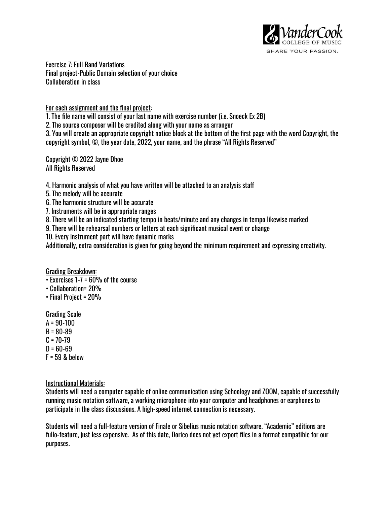

Exercise 7: Full Band Variations Final project-Public Domain selection of your choice Collaboration in class

For each assignment and the final project:

1. The file name will consist of your last name with exercise number (i.e. Snoeck Ex 2B)

2. The source composer will be credited along with your name as arranger

3. You will create an appropriate copyright notice block at the bottom of the first page with the word Copyright, the copyright symbol, ©, the year date, 2022, your name, and the phrase "All Rights Reserved"

Copyright © 2022 Jayne Dhoe All Rights Reserved

4. Harmonic analysis of what you have written will be attached to an analysis sta

- 5. The melody will be accurate
- 6. The harmonic structure will be accurate
- 7. Instruments will be in appropriate ranges
- 8. There will be an indicated starting tempo in beats/minute and any changes in tempo likewise marked
- 9. There will be rehearsal numbers or letters at each significant musical event or change
- 10. Every instrument part will have dynamic marks

Additionally, extra consideration is given for going beyond the minimum requirement and expressing creativity.

## Grading Breakdown:

- Exercises 1-7 = 60% of the course
- Collaboration= 20%
- Final Project = 20%

Grading Scale

- $A = 90 100$
- $B = 80 89$
- $C = 70-79$
- $D = 60-69$
- $F = 59$  & below

## Instructional Materials:

Students will need a computer capable of online communication using Schoology and ZOOM, capable of successfully running music notation software, a working microphone into your computer and headphones or earphones to participate in the class discussions. A high-speed internet connection is necessary.

Students will need a full-feature version of Finale or Sibelius music notation software. "Academic" editions are fullo-feature, just less expensive. As of this date, Dorico does not yet export files in a format compatible for our purposes.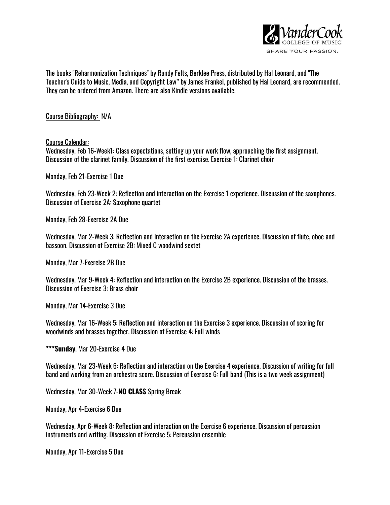

The books "Reharmonization Techniques" by Randy Felts, Berklee Press, distributed by Hal Leonard, and "The Teacher's Guide to Music, Media, and Copyright Law" by James Frankel, published by Hal Leonard, are recommended. They can be ordered from Amazon. There are also Kindle versions available.

Course Bibliography: N/A

Course Calendar:

Wednesday, Feb 16-Week1: Class expectations, setting up your work flow, approaching the first assignment. Discussion of the clarinet family. Discussion of the first exercise. Exercise 1: Clarinet choir

Monday, Feb 21-Exercise 1 Due

Wednesday, Feb 23-Week 2: Reflection and interaction on the Exercise 1 experience. Discussion of the saxophones. Discussion of Exercise 2A: Saxophone quartet

Monday, Feb 28-Exercise 2A Due

Wednesday, Mar 2-Week 3: Reflection and interaction on the Exercise 2A experience. Discussion of flute, oboe and bassoon. Discussion of Exercise 2B: Mixed C woodwind sextet

Monday, Mar 7-Exercise 2B Due

Wednesday, Mar 9-Week 4: Reflection and interaction on the Exercise 2B experience. Discussion of the brasses. Discussion of Exercise 3: Brass choir

Monday, Mar 14-Exercise 3 Due

Wednesday, Mar 16-Week 5: Reflection and interaction on the Exercise 3 experience. Discussion of scoring for woodwinds and brasses together. Discussion of Exercise 4: Full winds

**\*\*\*Sunday**, Mar 20-Exercise 4 Due

Wednesday, Mar 23-Week 6: Reflection and interaction on the Exercise 4 experience. Discussion of writing for full band and working from an orchestra score. Discussion of Exercise 6: Full band (This is a two week assignment)

Wednesday, Mar 30-Week 7-**NO CLASS** Spring Break

Monday, Apr 4-Exercise 6 Due

Wednesday, Apr 6-Week 8: Reflection and interaction on the Exercise 6 experience. Discussion of percussion instruments and writing. Discussion of Exercise 5: Percussion ensemble

Monday, Apr 11-Exercise 5 Due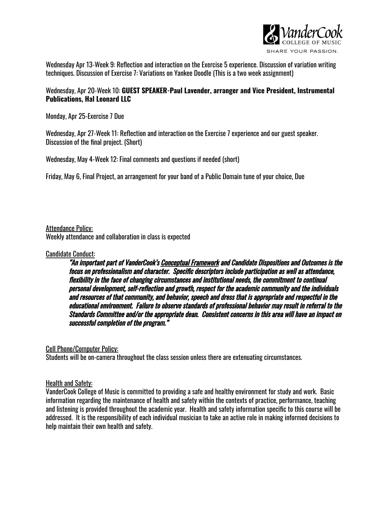

Wednesday Apr 13-Week 9: Reflection and interaction on the Exercise 5 experience. Discussion of variation writing techniques. Discussion of Exercise 7: Variations on Yankee Doodle (This is a two week assignment)

### Wednesday, Apr 20-Week 10: **GUEST SPEAKER-Paul Lavender, arranger and Vice President, Instrumental Publications, Hal Leonard LLC**

Monday, Apr 25-Exercise 7 Due

Wednesday, Apr 27-Week 11: Reflection and interaction on the Exercise 7 experience and our guest speaker. Discussion of the final project. (Short)

Wednesday, May 4-Week 12: Final comments and questions if needed (short)

Friday, May 6, Final Project, an arrangement for your band of a Public Domain tune of your choice, Due

Attendance Policy: Weekly attendance and collaboration in class is expected

### Candidate Conduct:

"An important part of VanderCook's Conceptual Framework and Candidate Dispositions and Outcomes is the focus on professionalism and character. Specific descriptors include participation as well as attendance, flexibility in the face of changing circumstances and institutional needs, the commitment to continual personal development, self-reflection and growth, respect for the academic community and the individuals and resources of that community, and behavior, speech and dress that is appropriate and respectful in the educational environment. Failure to observe standards of professional behavior may result in referral to the Standards Committee and/or the appropriate dean. Consistent concerns in this area will have an impact on successful completion of the program."

Cell Phone/Computer Policy:

Students will be on-camera throughout the class session unless there are extenuating circumstances.

## Health and Safety:

VanderCook College of Music is committed to providing a safe and healthy environment for study and work. Basic information regarding the maintenance of health and safety within the contexts of practice, performance, teaching and listening is provided throughout the academic year. Health and safety information specific to this course will be addressed. It is the responsibility of each individual musician to take an active role in making informed decisions to help maintain their own health and safety.